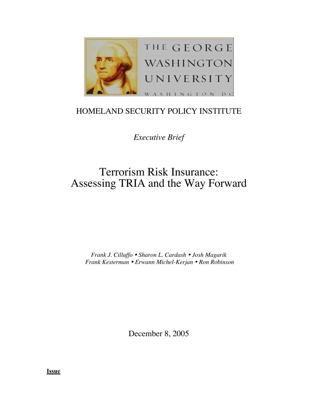

## HOMELAND SECURITY POLICY INSTITUTE

*Executive Brief*

# Terrorism Risk Insurance: Assessing TRIA and the Way Forward

*Frank J. Cilluffo Sharon L. Cardash Josh Magarik Frank Kesterman Erwann Michel-Kerjan Ron Robinson*

December 8, 2005

**Issue**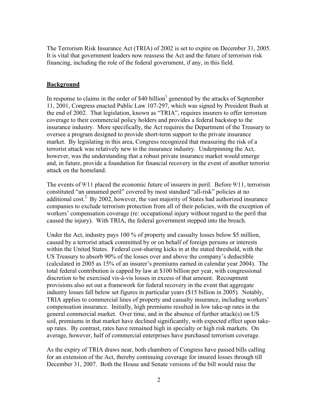The Terrorism Risk Insurance Act (TRIA) of 2002 is set to expire on December 31, 2005. It is vital that government leaders now reassess the Act and the future of terrorism risk financing, including the role of the federal government, if any, in this field.

#### **Background**

In response to claims in the order of \$40 billion<sup>1</sup> generated by the attacks of September 11, 2001, Congress enacted Public Law 107-297, which was signed by President Bush at the end of 2002. That legislation, known as "TRIA", requires insurers to offer terrorism coverage to their commercial policy holders and provides a federal backstop to the insurance industry. More specifically, the Act requires the Department of the Treasury to oversee a program designed to provide short-term support to the private insurance market. By legislating in this area, Congress recognized that measuring the risk of a terrorist attack was relatively new to the insurance industry. Underpinning the Act, however, was the understanding that a robust private insurance market would emerge and, in future, provide a foundation for financial recovery in the event of another terrorist attack on the homeland.

The events of 9/11 placed the economic future of insurers in peril. Before 9/11, terrorism constituted "an unnamed peril" covered by most standard "all-risk" policies at no additional cost.<sup>2</sup> By 2002, however, the vast majority of States had authorized insurance companies to exclude terrorism protection from all of their policies, with the exception of workers' compensation coverage (re: occupational injury without regard to the peril that caused the injury). With TRIA, the federal government stepped into the breach.

Under the Act, industry pays 100 % of property and casualty losses below \$5 million, caused by a terrorist attack committed by or on behalf of foreign persons or interests within the United States. Federal cost-sharing kicks in at the stated threshold, with the US Treasury to absorb 90% of the losses over and above the company's deductible (calculated in 2005 as 15% of an insurer's premiums earned in calendar year 2004). The total federal contribution is capped by law at \$100 billion per year, with congressional discretion to be exercised vis-à-vis losses in excess of that amount. Recoupment provisions also set out a framework for federal recovery in the event that aggregate industry losses fall below set figures in particular years (\$15 billion in 2005). Notably, TRIA applies to commercial lines of property and casualty insurance, including workers' compensation insurance. Initially, high premiums resulted in low take-up rates in the general commercial market. Over time, and in the absence of further attack(s) on US soil, premiums in that market have declined significantly, with expected effect upon takeup rates. By contrast, rates have remained high in specialty or high risk markets. On average, however, half of commercial enterprises have purchased terrorism coverage.

As the expiry of TRIA draws near, both chambers of Congress have passed bills calling for an extension of the Act, thereby continuing coverage for insured losses through till December 31, 2007. Both the House and Senate versions of the bill would raise the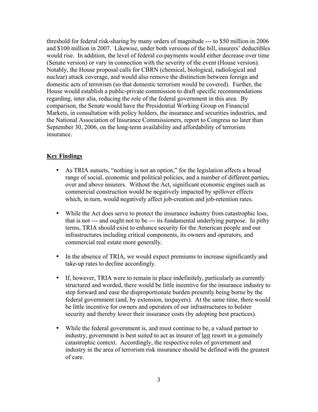threshold for federal risk-sharing by many orders of magnitude --- to \$50 million in 2006 and \$100 million in 2007. Likewise, under both versions of the bill, insurers' deductibles would rise. In addition, the level of federal co-payments would either decrease over time (Senate version) or vary in connection with the severity of the event (House version). Notably, the House proposal calls for CBRN (chemical, biological, radiological and nuclear) attack coverage, and would also remove the distinction between foreign and domestic acts of terrorism (so that domestic terrorism would be covered). Further, the House would establish a public-private commission to draft specific recommendations regarding, inter alia, reducing the role of the federal government in this area. By comparison, the Senate would have the Presidential Working Group on Financial Markets, in consultation with policy holders, the insurance and securities industries, and the National Association of Insurance Commissioners, report to Congress no later than September 30, 2006, on the long-term availability and affordability of terrorism insurance.

#### **Key Findings**

- As TRIA sunsets, "nothing is not an option," for the legislation affects a broad range of social, economic and political policies, and a number of different parties, over and above insurers. Without the Act, significant economic engines such as commercial construction would be negatively impacted by spillover effects which, in turn, would negatively affect job-creation and job-retention rates.
- While the Act does serve to protect the insurance industry from catastrophic loss, that is not --- and ought not to be --- its fundamental underlying purpose. In pithy terms, TRIA should exist to enhance security for the American people and our infrastructures including critical components, its owners and operators, and commercial real estate more generally.
- In the absence of TRIA, we would expect premiums to increase significantly and take-up rates to decline accordingly.
- If, however, TRIA were to remain in place indefinitely, particularly as currently structured and worded, there would be little incentive for the insurance industry to step forward and ease the disproportionate burden presently being borne by the federal government (and, by extension, taxpayers). At the same time, there would be little incentive for owners and operators of our infrastructures to bolster security and thereby lower their insurance costs (by adopting best practices).
- While the federal government is, and must continue to be, a valued partner to industry, government is best suited to act as insurer of last resort in a genuinely catastrophic context. Accordingly, the respective roles of government and industry in the area of terrorism risk insurance should be defined with the greatest of care.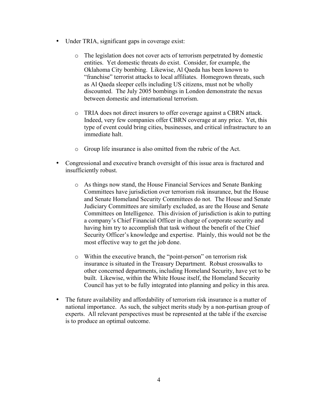- Under TRIA, significant gaps in coverage exist:
	- o The legislation does not cover acts of terrorism perpetrated by domestic entities. Yet domestic threats do exist. Consider, for example, the Oklahoma City bombing. Likewise, Al Qaeda has been known to "franchise" terrorist attacks to local affiliates. Homegrown threats, such as Al Qaeda sleeper cells including US citizens, must not be wholly discounted. The July 2005 bombings in London demonstrate the nexus between domestic and international terrorism.
	- o TRIA does not direct insurers to offer coverage against a CBRN attack. Indeed, very few companies offer CBRN coverage at any price. Yet, this type of event could bring cities, businesses, and critical infrastructure to an immediate halt.
	- o Group life insurance is also omitted from the rubric of the Act.
- Congressional and executive branch oversight of this issue area is fractured and insufficiently robust.
	- o As things now stand, the House Financial Services and Senate Banking Committees have jurisdiction over terrorism risk insurance, but the House and Senate Homeland Security Committees do not. The House and Senate Judiciary Committees are similarly excluded, as are the House and Senate Committees on Intelligence. This division of jurisdiction is akin to putting a company's Chief Financial Officer in charge of corporate security and having him try to accomplish that task without the benefit of the Chief Security Officer's knowledge and expertise. Plainly, this would not be the most effective way to get the job done.
	- o Within the executive branch, the "point-person" on terrorism risk insurance is situated in the Treasury Department. Robust crosswalks to other concerned departments, including Homeland Security, have yet to be built. Likewise, within the White House itself, the Homeland Security Council has yet to be fully integrated into planning and policy in this area.
- The future availability and affordability of terrorism risk insurance is a matter of national importance. As such, the subject merits study by a non-partisan group of experts. All relevant perspectives must be represented at the table if the exercise is to produce an optimal outcome.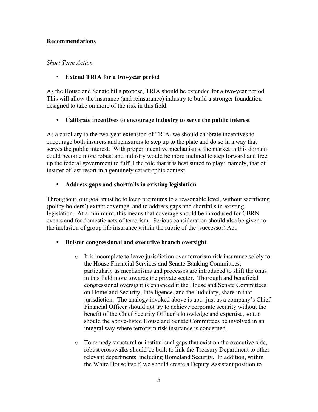#### Recommendations

#### *Short Term Action*

## • Extend TRIA for a two-year period

As the House and Senate bills propose, TRIA should be extended for a two-year period. This will allow the insurance (and reinsurance) industry to build a stronger foundation designed to take on more of the risk in this field.

### • Calibrate incentives to encourage industry to serve the public interest

As a corollary to the two-year extension of TRIA, we should calibrate incentives to encourage both insurers and reinsurers to step up to the plate and do so in a way that serves the public interest. With proper incentive mechanisms, the market in this domain could become more robust and industry would be more inclined to step forward and free up the federal government to fulfill the role that it is best suited to play: namely, that of insurer of last resort in a genuinely catastrophic context.

### • Address gaps and shortfalls in existing legislation

Throughout, our goal must be to keep premiums to a reasonable level, without sacrificing (policy holders') extant coverage, and to address gaps and shortfalls in existing legislation. At a minimum, this means that coverage should be introduced for CBRN events and for domestic acts of terrorism. Serious consideration should also be given to the inclusion of group life insurance within the rubric of the (successor) Act.

#### • Bolster congressional and executive branch oversight

- o It is incomplete to leave jurisdiction over terrorism risk insurance solely to the House Financial Services and Senate Banking Committees, particularly as mechanisms and processes are introduced to shift the onus in this field more towards the private sector. Thorough and beneficial congressional oversight is enhanced if the House and Senate Committees on Homeland Security, Intelligence, and the Judiciary, share in that jurisdiction. The analogy invoked above is apt: just as a company's Chief Financial Officer should not try to achieve corporate security without the benefit of the Chief Security Officer's knowledge and expertise, so too should the above-listed House and Senate Committees be involved in an integral way where terrorism risk insurance is concerned.
- o To remedy structural or institutional gaps that exist on the executive side, robust crosswalks should be built to link the Treasury Department to other relevant departments, including Homeland Security. In addition, within the White House itself, we should create a Deputy Assistant position to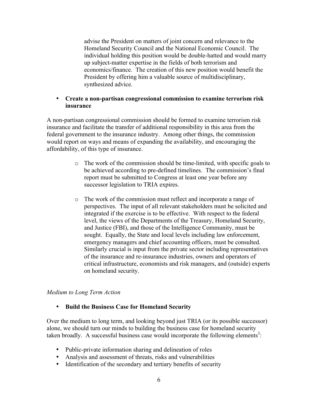advise the President on matters of joint concern and relevance to the Homeland Security Council and the National Economic Council. The individual holding this position would be double-hatted and would marry up subject-matter expertise in the fields of both terrorism and economics/finance. The creation of this new position would benefit the President by offering him a valuable source of multidisciplinary, synthesized advice.

#### • Create a non-partisan congressional commission to examine terrorism risk insurance

A non-partisan congressional commission should be formed to examine terrorism risk insurance and facilitate the transfer of additional responsibility in this area from the federal government to the insurance industry. Among other things, the commission would report on ways and means of expanding the availability, and encouraging the affordability, of this type of insurance.

- o The work of the commission should be time-limited, with specific goals to be achieved according to pre-defined timelines. The commission's final report must be submitted to Congress at least one year before any successor legislation to TRIA expires.
- o The work of the commission must reflect and incorporate a range of perspectives. The input of all relevant stakeholders must be solicited and integrated if the exercise is to be effective. With respect to the federal level, the views of the Departments of the Treasury, Homeland Security, and Justice (FBI), and those of the Intelligence Community, must be sought. Equally, the State and local levels including law enforcement, emergency managers and chief accounting officers, must be consulted. Similarly crucial is input from the private sector including representatives of the insurance and re-insurance industries, owners and operators of critical infrastructure, economists and risk managers, and (outside) experts on homeland security.

#### *Medium to Long Term Action*

### • Build the Business Case for Homeland Security

Over the medium to long term, and looking beyond just TRIA (or its possible successor) alone, we should turn our minds to building the business case for homeland security taken broadly. A successful business case would incorporate the following elements<sup>3</sup>:

- Public-private information sharing and delineation of roles
- Analysis and assessment of threats, risks and vulnerabilities
- Identification of the secondary and tertiary benefits of security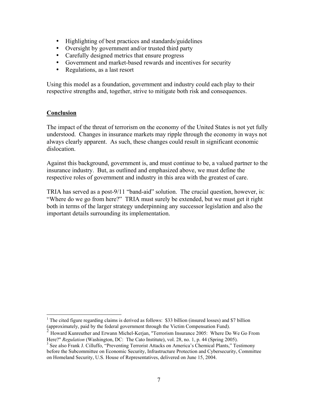- Highlighting of best practices and standards/guidelines
- Oversight by government and/or trusted third party
- Carefully designed metrics that ensure progress
- Government and market-based rewards and incentives for security
- Regulations, as a last resort

Using this model as a foundation, government and industry could each play to their respective strengths and, together, strive to mitigate both risk and consequences.

#### **Conclusion**

The impact of the threat of terrorism on the economy of the United States is not yet fully understood. Changes in insurance markets may ripple through the economy in ways not always clearly apparent. As such, these changes could result in significant economic dislocation.

Against this background, government is, and must continue to be, a valued partner to the insurance industry. But, as outlined and emphasized above, we must define the respective roles of government and industry in this area with the greatest of care.

TRIA has served as a post-9/11 "band-aid" solution. The crucial question, however, is: "Where do we go from here?" TRIA must surely be extended, but we must get it right both in terms of the larger strategy underpinning any successor legislation and also the important details surrounding its implementation.

 $\frac{1}{1}$ <sup>1</sup> The cited figure regarding claims is derived as follows: \$33 billion (insured losses) and \$7 billion (approximately, paid by the federal government through the Victim Compensation Fund).

<sup>&</sup>lt;sup>2</sup> Howard Kunreuther and Erwann Michel-Kerjan, "Terrorism Insurance 2005: Where Do We Go From Here?" *Regulation* (Washington, DC: The Cato Institute), vol. 28, no. 1, p. 44 (Spring 2005).

<sup>&</sup>lt;sup>3</sup> See also Frank J. Cilluffo, "Preventing Terrorist Attacks on America's Chemical Plants," Testimony before the Subcommittee on Economic Security, Infrastructure Protection and Cybersecurity, Committee on Homeland Security, U.S. House of Representatives, delivered on June 15, 2004.